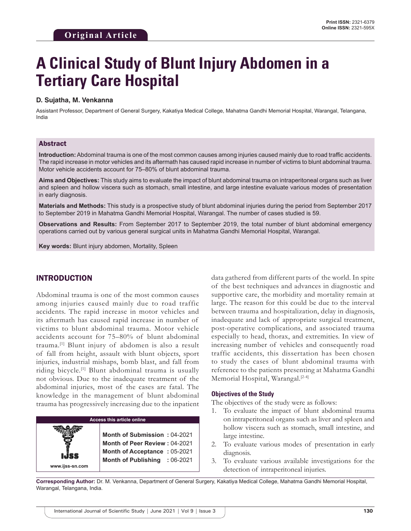# **A Clinical Study of Blunt Injury Abdomen in a Tertiary Care Hospital**

#### **D. Sujatha, M. Venkanna**

Assistant Professor, Department of General Surgery, Kakatiya Medical College, Mahatma Gandhi Memorial Hospital, Warangal, Telangana, India

#### Abstract

**Introduction:** Abdominal trauma is one of the most common causes among injuries caused mainly due to road traffic accidents. The rapid increase in motor vehicles and its aftermath has caused rapid increase in number of victims to blunt abdominal trauma. Motor vehicle accidents account for 75–80% of blunt abdominal trauma.

**Aims and Objectives:** This study aims to evaluate the impact of blunt abdominal trauma on intraperitoneal organs such as liver and spleen and hollow viscera such as stomach, small intestine, and large intestine evaluate various modes of presentation in early diagnosis.

**Materials and Methods:** This study is a prospective study of blunt abdominal injuries during the period from September 2017 to September 2019 in Mahatma Gandhi Memorial Hospital, Warangal. The number of cases studied is 59.

**Observations and Results:** From September 2017 to September 2019, the total number of blunt abdominal emergency operations carried out by various general surgical units in Mahatma Gandhi Memorial Hospital, Warangal.

**Key words:** Blunt injury abdomen, Mortality, Spleen

## INTRODUCTION

Abdominal trauma is one of the most common causes among injuries caused mainly due to road traffic accidents. The rapid increase in motor vehicles and its aftermath has caused rapid increase in number of victims to blunt abdominal trauma. Motor vehicle accidents account for 75–80% of blunt abdominal trauma.[1] Blunt injury of abdomen is also a result of fall from height, assault with blunt objects, sport injuries, industrial mishaps, bomb blast, and fall from riding bicycle.[1] Blunt abdominal trauma is usually not obvious. Due to the inadequate treatment of the abdominal injuries, most of the cases are fatal. The knowledge in the management of blunt abdominal trauma has progressively increasing due to the inpatient

**Access this article online www.ijss-sn.com Month of Submission :** 04-2021 **Month of Peer Review :** 04-2021 **Month of Acceptance :** 05-2021 **Month of Publishing :** 06-2021 data gathered from different parts of the world. In spite of the best techniques and advances in diagnostic and supportive care, the morbidity and mortality remain at large. The reason for this could be due to the interval between trauma and hospitalization, delay in diagnosis, inadequate and lack of appropriate surgical treatment, post-operative complications, and associated trauma especially to head, thorax, and extremities. In view of increasing number of vehicles and consequently road traffic accidents, this dissertation has been chosen to study the cases of blunt abdominal trauma with reference to the patients presenting at Mahatma Gandhi Memorial Hospital, Warangal.<sup>[2-4]</sup>

#### **Objectives of the Study**

The objectives of the study were as follows:

- 1. To evaluate the impact of blunt abdominal trauma on intraperitoneal organs such as liver and spleen and hollow viscera such as stomach, small intestine, and large intestine.
- 2. To evaluate various modes of presentation in early diagnosis.
- 3. To evaluate various available investigations for the detection of intraperitoneal injuries.

**Corresponding Author:** Dr. M. Venkanna, Department of General Surgery, Kakatiya Medical College, Mahatma Gandhi Memorial Hospital, Warangal, Telangana, India.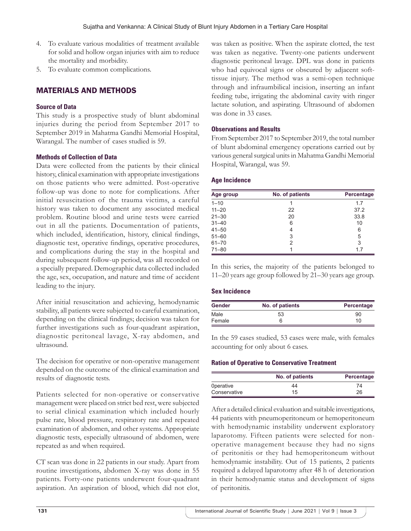- 4. To evaluate various modalities of treatment available for solid and hollow organ injuries with aim to reduce the mortality and morbidity.
- 5. To evaluate common complications.

# MATERIALS AND METHODS

## **Source of Data**

This study is a prospective study of blunt abdominal injuries during the period from September 2017 to September 2019 in Mahatma Gandhi Memorial Hospital, Warangal. The number of cases studied is 59.

#### **Methods of Collection of Data**

Data were collected from the patients by their clinical history, clinical examination with appropriate investigations on those patients who were admitted. Post-operative follow-up was done to note for complications. After initial resuscitation of the trauma victims, a careful history was taken to document any associated medical problem. Routine blood and urine tests were carried out in all the patients. Documentation of patients, which included, identification, history, clinical findings, diagnostic test, operative findings, operative procedures, and complications during the stay in the hospital and during subsequent follow-up period, was all recorded on a specially prepared. Demographic data collected included the age, sex, occupation, and nature and time of accident leading to the injury.

After initial resuscitation and achieving, hemodynamic stability, all patients were subjected to careful examination, depending on the clinical findings; decision was taken for further investigations such as four-quadrant aspiration, diagnostic peritoneal lavage, X-ray abdomen, and ultrasound.

The decision for operative or non-operative management depended on the outcome of the clinical examination and results of diagnostic tests.

Patients selected for non-operative or conservative management were placed on strict bed rest, were subjected to serial clinical examination which included hourly pulse rate, blood pressure, respiratory rate and repeated examination of abdomen, and other systems. Appropriate diagnostic tests, especially ultrasound of abdomen, were repeated as and when required.

CT scan was done in 22 patients in our study. Apart from routine investigations, abdomen X-ray was done in 55 patients. Forty-one patients underwent four-quadrant aspiration. An aspiration of blood, which did not clot, was taken as positive. When the aspirate clotted, the test was taken as negative. Twenty-one patients underwent diagnostic peritoneal lavage. DPL was done in patients who had equivocal signs or obscured by adjacent softtissue injury. The method was a semi-open technique through and infraumbilical incision, inserting an infant feeding tube, irrigating the abdominal cavity with ringer lactate solution, and aspirating. Ultrasound of abdomen was done in 33 cases.

#### **Observations and Results**

From September 2017 to September 2019, the total number of blunt abdominal emergency operations carried out by various general surgical units in Mahatma Gandhi Memorial Hospital, Warangal, was 59.

#### **Age Incidence**

| Age group | No. of patients | Percentage |  |
|-----------|-----------------|------------|--|
| $1 - 10$  | 1               | 1.7        |  |
| $11 - 20$ | 22              | 37.2       |  |
| $21 - 30$ | 20              | 33.8       |  |
| $31 - 40$ | 6               | 10         |  |
| $41 - 50$ | 4               | 6          |  |
| $51 - 60$ | 3               | 5          |  |
| $61 - 70$ | 2               | 3          |  |
| $71 - 80$ |                 | 1.7        |  |

In this series, the majority of the patients belonged to 11–20 years age group followed by 21–30 years age group.

#### **Sex Incidence**

| <b>Gender</b> | No. of patients | Percentage |
|---------------|-----------------|------------|
| Male          | 53              | 90         |
| Female        | 6               | 10         |

In the 59 cases studied, 53 cases were male, with females accounting for only about 6 cases.

#### **Ration of Operative to Conservative Treatment**

|                  | No. of patients | Percentage |
|------------------|-----------------|------------|
| <b>Operative</b> | 44              |            |
| Conservative     | 15              | 26         |

After a detailed clinical evaluation and suitable investigations, 44 patients with pneumoperitoneum or hemoperitoneum with hemodynamic instability underwent exploratory laparotomy. Fifteen patients were selected for nonoperative management because they had no signs of peritonitis or they had hemoperitoneum without hemodynamic instability. Out of 15 patients, 2 patients required a delayed laparotomy after 48 h of deterioration in their hemodynamic status and development of signs of peritonitis.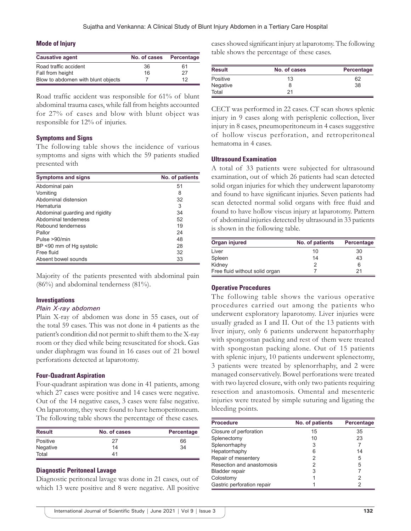#### **Mode of Injury**

| <b>Causative agent</b>             | No. of cases Percentage |    |
|------------------------------------|-------------------------|----|
| Road traffic accident              | 36                      | 61 |
| Fall from height                   | 16                      | 27 |
| Blow to abdomen with blunt objects |                         | 12 |

Road traffic accident was responsible for 61% of blunt abdominal trauma cases, while fall from heights accounted for 27% of cases and blow with blunt object was responsible for 12% of injuries.

#### **Symptoms and Signs**

The following table shows the incidence of various symptoms and signs with which the 59 patients studied presented with

| <b>Symptoms and signs</b>       | No. of patients |
|---------------------------------|-----------------|
| Abdominal pain                  | 51              |
| Vomiting                        | 8               |
| Abdominal distension            | 32              |
| Hematuria                       | 3               |
| Abdominal guarding and rigidity | 34              |
| Abdominal tenderness            | 52              |
| Rebound tenderness              | 19              |
| Pallor                          | 24              |
| Pulse >90/min                   | 48              |
| BP <90 mm of Hg systolic        | 28              |
| Free fluid                      | 32              |
| Absent bowel sounds             | 33              |

Majority of the patients presented with abdominal pain (86%) and abdominal tenderness (81%).

#### **Investigations**

#### *Plain X-ray abdomen*

Plain X-ray of abdomen was done in 55 cases, out of the total 59 cases. This was not done in 4 patients as the patient's condition did not permit to shift them to the X-ray room or they died while being resuscitated for shock. Gas under diaphragm was found in 16 cases out of 21 bowel perforations detected at laparotomy.

#### **Four-Quadrant Aspiration**

Four-quadrant aspiration was done in 41 patients, among which 27 cases were positive and 14 cases were negative. Out of the 14 negative cases, 3 cases were false negative. On laparotomy, they were found to have hemoperitoneum. The following table shows the percentage of these cases.

| <b>Result</b> | No. of cases | Percentage |
|---------------|--------------|------------|
| Positive      | 27           | 66         |
| Negative      | 14           | 34         |
| Total         | 41           |            |

#### **Diagnostic Peritoneal Lavage**

Diagnostic peritoneal lavage was done in 21 cases, out of which 13 were positive and 8 were negative. All positive cases showed significant injury at laparotomy. The following table shows the percentage of these cases.

| Result   | No. of cases | Percentage |
|----------|--------------|------------|
| Positive | 13           | 62         |
| Negative | 8            | 38         |
| Total    | 21           |            |

CECT was performed in 22 cases. CT scan shows splenic injury in 9 cases along with perisplenic collection, liver injury in 8 cases, pneumoperitoneum in 4 cases suggestive of hollow viscus perforation, and retroperitoneal hematoma in 4 cases.

#### **Ultrasound Examination**

A total of 33 patients were subjected for ultrasound examination, out of which 26 patients had scan detected solid organ injuries for which they underwent laparotomy and found to have significant injuries. Seven patients had scan detected normal solid organs with free fluid and found to have hollow viscus injury at laparotomy. Pattern of abdominal injuries detected by ultrasound in 33 patients is shown in the following table.

| Organ injured                  | No. of patients | Percentage |
|--------------------------------|-----------------|------------|
| Liver                          | 10              | 30         |
| Spleen                         | 14              | 43         |
| Kidney                         |                 | 6          |
| Free fluid without solid organ |                 | 21         |

#### **Operative Procedures**

The following table shows the various operative procedures carried out among the patients who underwent exploratory laparotomy. Liver injuries were usually graded as I and II. Out of the 13 patients with liver injury, only 6 patients underwent hepatorrhaphy with spongostan packing and rest of them were treated with spongostan packing alone. Out of 15 patients with splenic injury, 10 patients underwent splenectomy, 3 patients were treated by splenorrhaphy, and 2 were managed conservatively. Bowel perforations were treated with two layered closure, with only two patients requiring resection and anastomosis. Omental and mesenteric injuries were treated by simple suturing and ligating the bleeding points.

| <b>Procedure</b>           | No. of patients | Percentage |
|----------------------------|-----------------|------------|
| Closure of perforation     | 15              | 35         |
| Splenectomy                | 10              | 23         |
| Splenorrhaphy              | 3               |            |
| Hepatorrhaphy              | 6               | 14         |
| Repair of mesentery        |                 | 5          |
| Resection and anastomosis  |                 | 5          |
| <b>Bladder repair</b>      |                 |            |
| Colostomy                  |                 |            |
| Gastric perforation repair |                 |            |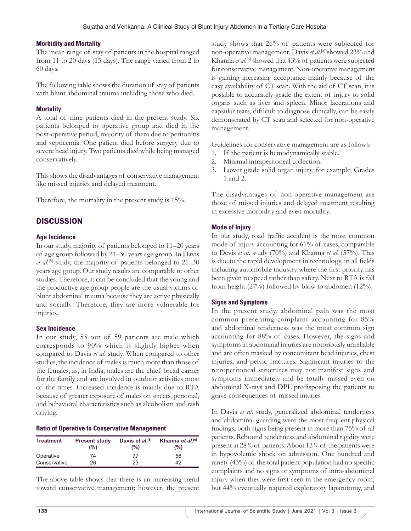#### **Morbidity and Mortality**

The mean range of stay of patients in the hospital ranged from 11 to 20 days (15 days). The range varied from 2 to 60 days.

The following table shows the duration of stay of patients with blunt abdominal trauma including those who died.

#### **Mortality**

A total of nine patients died in the present study. Six patients belonged to operative group and died in the post-operative period, majority of them due to peritonitis and septicemia. One patient died before surgery due to severe head injury. Two patients died while being managed conservatively.

This shows the disadvantages of conservative management like missed injuries and delayed treatment.

Therefore, the mortality in the present study is 15%.

# **DISCUSSION**

## **Age Incidence**

In our study, majority of patients belonged to 11–20 years of age group followed by 21–30 years age group. In Davis et al.<sup>[5]</sup> study, the majority of patients belonged to 21–30 years age group. Our study results are comparable to other studies. Therefore, it can be concluded that the young and the productive age group people are the usual victims of blunt abdominal trauma because they are active physically and socially. Therefore, they are more vulnerable for injuries.

#### **Sex Incidence**

In our study, 53 out of 59 patients are male which corresponds to 90% which is slightly higher when compared to Davis *et al*. study. When compared to other studies, the incidence of males is much more than those of the females, as, in India, males are the chief bread earner for the family and are involved in outdoor activities most of the times. Increased incidence is mainly due to RTA because of greater exposure of males on streets, personal, and behavioral characteristics such as alcoholism and rash driving.

#### **Ratio of Operative to Conservative Management**

| <b>Treatment</b> | <b>Present study</b><br>$(\%)$ | Davis et al. <sup>[5]</sup><br>$(\% )$ | Khanna et al. <sup>[6]</sup><br>$(\%)$ |
|------------------|--------------------------------|----------------------------------------|----------------------------------------|
| Operative        | 74                             | 77                                     | 58                                     |
| Conservative     | 26                             | 23                                     | 42                                     |

The above table shows that there is an increasing trend toward conservative management; however, the present study shows that 26% of patients were subjected for non-operative management. Davis *et al*. [5] showed 23% and Khanna et al.<sup>[6]</sup> showed that 43% of patients were subjected for conservative management. Non-operative management is gaining increasing acceptance mainly because of the easy availability of CT scan. With the aid of CT scan, it is possible to accurately grade the extent of injury to solid organs such as liver and spleen. Minor lacerations and capsular tears, difficult to diagnose clinically, can be easily demonstrated by CT scan and selected for non-operative management.

Guidelines for conservative management are as follows:

- 1. If the patient is hemodynamically stable.
- 2. Minimal intraperitoneal collection.
- 3. Lower grade solid organ injury, for example, Grades 1 and 2.

The disadvantages of non-operative management are those of missed injuries and delayed treatment resulting in excessive morbidity and even mortality.

## **Mode of Injury**

In our study, road traffic accident is the most common mode of injury accounting for 61% of cases, comparable to Devis *et al*. study (70%) and Khanna *et al*. (57%). This is due to the rapid development in technology, in all fields including automobile industry where the first priority has been given to speed rather than safety. Next to RTA is fall from height (27%) followed by blow to abdomen (12%).

#### **Signs and Symptoms**

In the present study, abdominal pain was the most common presenting complaint accounting for 85% and abdominal tenderness was the most common sign accounting for 88% of cases. However, the signs and symptoms in abdominal injuries are notoriously unreliable and are often masked by concomitant head injuries, chest injuries, and pelvic fractures. Significant injuries to the retroperitoneal structures may not manifest signs and symptoms immediately and be totally missed even on abdominal X-rays and DPL predisposing the patients to grave consequences of missed injuries.

In Davis *et al*. study, generalized abdominal tenderness and abdominal guarding were the most frequent physical findings, both signs being present in more than 75% of all patients. Rebound tenderness and abdominal rigidity were present in 28% of patients. About 12% of the patients were in hypovolemic shock on admission. One hundred and ninety (43%) of the total patient population had no specific complaints and no signs or symptoms of intra-abdominal injury when they were first seen in the emergency room, but 44% eventually required exploratory laparotomy, and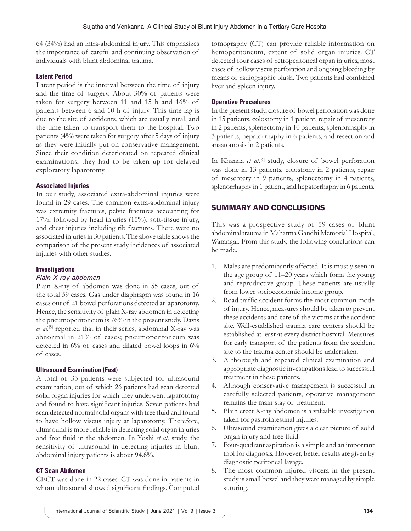64 (34%) had an intra-abdominal injury. This emphasizes the importance of careful and continuing observation of individuals with blunt abdominal trauma.

#### **Latent Period**

Latent period is the interval between the time of injury and the time of surgery. About 30% of patients were taken for surgery between 11 and 15 h and 16% of patients between 6 and 10 h of injury. This time lag is due to the site of accidents, which are usually rural, and the time taken to transport them to the hospital. Two patients (4%) were taken for surgery after 5 days of injury as they were initially put on conservative management. Since their condition deteriorated on repeated clinical examinations, they had to be taken up for delayed exploratory laparotomy.

#### **Associated Injuries**

In our study, associated extra-abdominal injuries were found in 29 cases. The common extra-abdominal injury was extremity fractures, pelvic fractures accounting for 17%, followed by head injuries (15%), soft-tissue injury, and chest injuries including rib fractures. There were no associated injuries in 30 patients. The above table shows the comparison of the present study incidences of associated injuries with other studies.

#### **Investigations**

#### *Plain X-ray abdomen*

Plain X-ray of abdomen was done in 55 cases, out of the total 59 cases. Gas under diaphragm was found in 16 cases out of 21 bowel perforations detected at laparotomy. Hence, the sensitivity of plain X-ray abdomen in detecting the pneumoperitoneum is 76% in the present study. Davis et al.<sup>[5]</sup> reported that in their series, abdominal X-ray was abnormal in 21% of cases; pneumoperitoneum was detected in 6% of cases and dilated bowel loops in 6% of cases.

#### **Ultrasound Examination (Fast)**

A total of 33 patients were subjected for ultrasound examination, out of which 26 patients had scan detected solid organ injuries for which they underwent laparotomy and found to have significant injuries. Seven patients had scan detected normal solid organs with free fluid and found to have hollow viscus injury at laparotomy. Therefore, ultrasound is more reliable in detecting solid organ injuries and free fluid in the abdomen. In Yoshi *et al*. study, the sensitivity of ultrasound in detecting injuries in blunt abdominal injury patients is about 94.6%.

#### **CT Scan Abdomen**

CECT was done in 22 cases. CT was done in patients in whom ultrasound showed significant findings. Computed tomography (CT) can provide reliable information on hemoperitoneum, extent of solid organ injuries. CT detected four cases of retroperitoneal organ injuries, most cases of hollow viscus perforation and ongoing bleeding by means of radiographic blush. Two patients had combined liver and spleen injury.

## **Operative Procedures**

In the present study, closure of bowel perforation was done in 15 patients, colostomy in 1 patient, repair of mesentery in 2 patients, splenectomy in 10 patients, splenorrhaphy in 3 patients, hepatorrhaphy in 6 patients, and resection and anastomosis in 2 patients.

In Khanna et al.<sup>[6]</sup> study, closure of bowel perforation was done in 13 patients, colostomy in 2 patients, repair of mesentery in 9 patients, splenectomy in 4 patients, splenorrhaphy in 1 patient, and hepatorrhaphy in 6 patients.

# SUMMARY AND CONCLUSIONS

This was a prospective study of 59 cases of blunt abdominal trauma in Mahatma Gandhi Memorial Hospital, Warangal. From this study, the following conclusions can be made.

- 1. Males are predominantly affected. It is mostly seen in the age group of 11–20 years which form the young and reproductive group. These patients are usually from lower socioeconomic income group.
- 2. Road traffic accident forms the most common mode of injury. Hence, measures should be taken to prevent these accidents and care of the victims at the accident site. Well-established trauma care centers should be established at least at every district hospital. Measures for early transport of the patients from the accident site to the trauma center should be undertaken.
- 3. A thorough and repeated clinical examination and appropriate diagnostic investigations lead to successful treatment in these patients.
- 4. Although conservative management is successful in carefully selected patients, operative management remains the main stay of treatment.
- 5. Plain erect X-ray abdomen is a valuable investigation taken for gastrointestinal injuries.
- 6. Ultrasound examination gives a clear picture of solid organ injury and free fluid.
- 7. Four-quadrant aspiration is a simple and an important tool for diagnosis. However, better results are given by diagnostic peritoneal lavage.
- 8. The most common injured viscera in the present study is small bowel and they were managed by simple suturing.